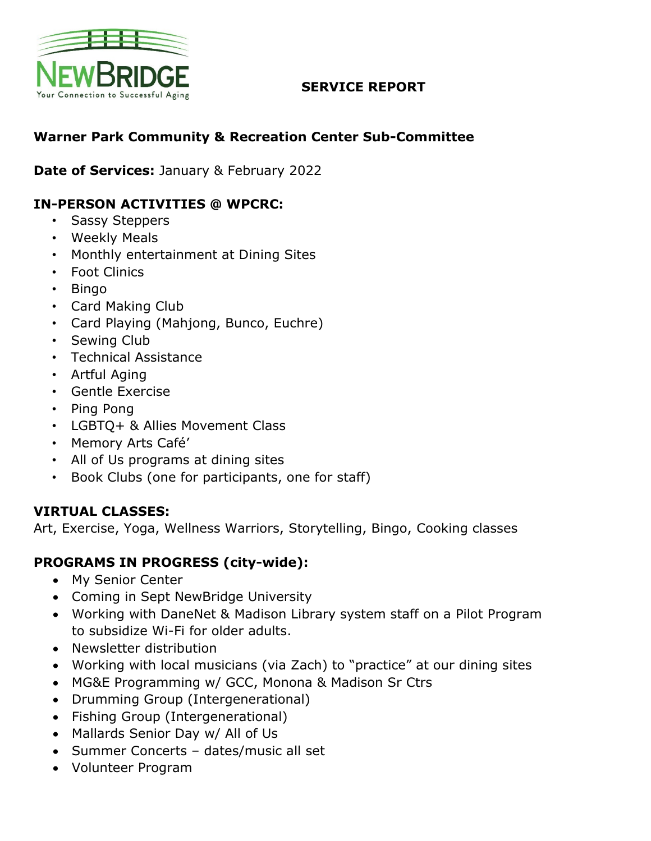

### **SERVICE REPORT**

## **Warner Park Community & Recreation Center Sub-Committee**

**Date of Services:** January & February 2022

## **IN-PERSON ACTIVITIES @ WPCRC:**

- Sassy Steppers
- Weekly Meals
- Monthly entertainment at Dining Sites
- Foot Clinics
- Bingo
- Card Making Club
- Card Playing (Mahjong, Bunco, Euchre)
- Sewing Club
- Technical Assistance
- Artful Aging
- Gentle Exercise
- Ping Pong
- LGBTQ+ & Allies Movement Class
- Memory Arts Café'
- All of Us programs at dining sites
- Book Clubs (one for participants, one for staff)

#### **VIRTUAL CLASSES:**

Art, Exercise, Yoga, Wellness Warriors, Storytelling, Bingo, Cooking classes

### **PROGRAMS IN PROGRESS (city-wide):**

- My Senior Center
- Coming in Sept NewBridge University
- Working with DaneNet & Madison Library system staff on a Pilot Program to subsidize Wi-Fi for older adults.
- Newsletter distribution
- Working with local musicians (via Zach) to "practice" at our dining sites
- MG&E Programming w/ GCC, Monona & Madison Sr Ctrs
- Drumming Group (Intergenerational)
- Fishing Group (Intergenerational)
- Mallards Senior Day w/ All of Us
- Summer Concerts dates/music all set
- Volunteer Program